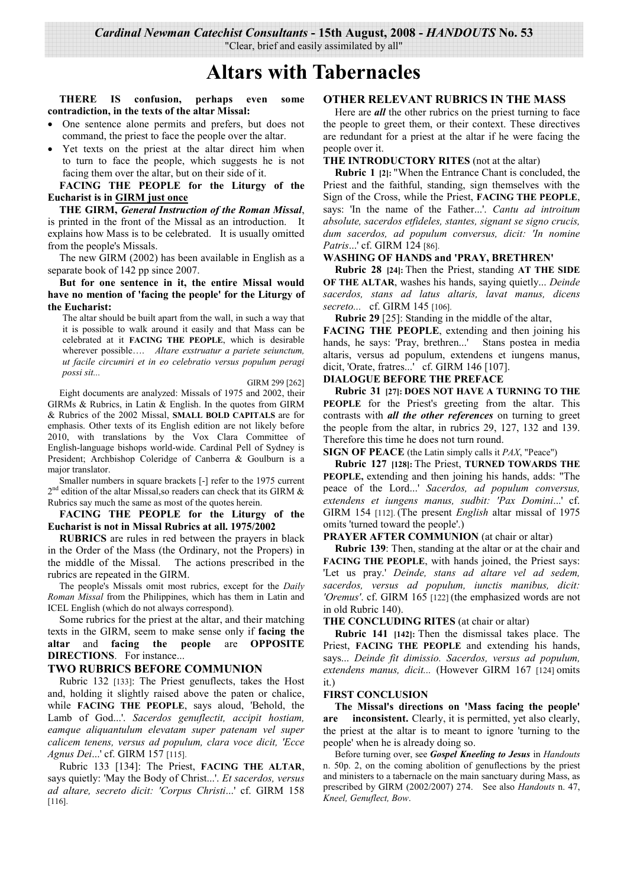Cardinal Newman Catechist Consultants - 15th August, 2008 - HANDOUTS No. 53

"Clear, brief and easily assimilated by all"

# **Altars with Tabernacles**

THERE IS confusion, perhaps even some contradiction, in the texts of the altar Missal:

- One sentence alone permits and prefers, but does not command, the priest to face the people over the altar.
- Yet texts on the priest at the altar direct him when to turn to face the people, which suggests he is not facing them over the altar, but on their side of it.

FACING THE PEOPLE for the Liturgy of the **Eucharist is in GIRM just once** 

THE GIRM, General Instruction of the Roman Missal, is printed in the front of the Missal as an introduction. It explains how Mass is to be celebrated. It is usually omitted from the people's Missals.

The new GIRM (2002) has been available in English as a separate book of 142 pp since 2007.

But for one sentence in it, the entire Missal would have no mention of 'facing the people' for the Liturgy of the Eucharist:

The altar should be built apart from the wall, in such a way that it is possible to walk around it easily and that Mass can be celebrated at it FACING THE PEOPLE, which is desirable wherever possible.... Altare exstruatur a pariete seiunctum, ut facile circumiri et in eo celebratio versus populum peragi possi sit...

GIRM 299 [262]

Eight documents are analyzed: Missals of 1975 and 2002, their GIRMs & Rubrics, in Latin & English. In the quotes from GIRM & Rubrics of the 2002 Missal, SMALL BOLD CAPITALS are for emphasis. Other texts of its English edition are not likely before 2010, with translations by the Vox Clara Committee of English-language bishops world-wide. Cardinal Pell of Svdnev is President; Archbishop Coleridge of Canberra & Goulburn is a major translator.

Smaller numbers in square brackets [-] refer to the 1975 current  $2<sup>nd</sup>$  edition of the altar Missal, so readers can check that its GIRM & Rubrics say much the same as most of the quotes herein.

## FACING THE PEOPLE for the Liturgy of the Eucharist is not in Missal Rubrics at all. 1975/2002

**RUBRICS** are rules in red between the prayers in black in the Order of the Mass (the Ordinary, not the Propers) in the middle of the Missal. The actions prescribed in the rubrics are repeated in the GIRM.

The people's Missals omit most rubrics, except for the *Daily* Roman Missal from the Philippines, which has them in Latin and ICEL English (which do not always correspond).

Some rubrics for the priest at the altar, and their matching texts in the GIRM, seem to make sense only if facing the and facing the people are OPPOSITE altar **DIRECTIONS.** For instance...

# **TWO RUBRICS BEFORE COMMUNION**

Rubric 132 [133]: The Priest genuflects, takes the Host and, holding it slightly raised above the paten or chalice, while FACING THE PEOPLE, says aloud, 'Behold, the Lamb of God...'. Sacerdos genuflectit, accipit hostiam, eamque aliquantulum elevatam super patenam vel super calicem tenens, versus ad populum, clara voce dicit, 'Ecce Agnus Dei...' cf. GIRM 157 [115].

Rubric 133 [134]: The Priest, FACING THE ALTAR, says quietly: 'May the Body of Christ...'. Et sacerdos, versus ad altare, secreto dicit: 'Corpus Christi...' cf. GIRM 158  $[116]$ .

# **OTHER RELEVANT RUBRICS IN THE MASS**

Here are *all* the other rubrics on the priest turning to face the people to greet them, or their context. These directives are redundant for a priest at the altar if he were facing the people over it.

#### THE INTRODUCTORY RITES (not at the altar)

**Rubric 1** [2]: "When the Entrance Chant is concluded, the Priest and the faithful, standing, sign themselves with the Sign of the Cross, while the Priest, FACING THE PEOPLE, says: 'In the name of the Father...'. Cantu ad introitum absolute, sacerdos etfideles, stantes, signant se signo crucis, dum sacerdos, ad populum conversus, dicit: 'In nomine Patris...' cf. GIRM 124 [86].

## **WASHING OF HANDS and 'PRAY, BRETHREN'**

Rubric 28 [24]: Then the Priest, standing AT THE SIDE OF THE ALTAR, washes his hands, saying quietly... Deinde sacerdos, stans ad latus altaris, lavat manus, dicens secreto... cf. GIRM 145 [106].

**Rubric 29** [25]: Standing in the middle of the altar,

FACING THE PEOPLE, extending and then joining his hands, he says: 'Pray, brethren...' Stans postea in media altaris, versus ad populum, extendens et jungens manus, dicit, 'Orate, fratres...' cf. GIRM 146 [107].

# **DIALOGUE BEFORE THE PREFACE**

**Rubric 31 [27]: DOES NOT HAVE A TURNING TO THE** PEOPLE for the Priest's greeting from the altar. This contrasts with *all the other references* on turning to greet the people from the altar, in rubrics 29, 127, 132 and 139. Therefore this time he does not turn round.

**SIGN OF PEACE** (the Latin simply calls it *PAX*, "Peace")

Rubric 127 [128]: The Priest, TURNED TOWARDS THE **PEOPLE**, extending and then joining his hands, adds: "The peace of the Lord...' Sacerdos, ad populum conversus, extendens et iungens manus, sudbit: 'Pax Domini...' cf. GIRM 154 [112]. (The present *English* altar missal of 1975 omits 'turned toward the people'.)

# PRAYER AFTER COMMUNION (at chair or altar)

**Rubric 139**: Then, standing at the altar or at the chair and **FACING THE PEOPLE**, with hands joined, the Priest says: 'Let us pray.' Deinde, stans ad altare vel ad sedem, sacerdos, versus ad populum, iunctis manibus, dicit: 'Oremus'. cf. GIRM 165 [122] (the emphasized words are not in old Rubric 140).

# THE CONCLUDING RITES (at chair or altar)

**Rubric 141** [142]: Then the dismissal takes place. The Priest, FACING THE PEOPLE and extending his hands, says... Deinde fit dimissio. Sacerdos, versus ad populum, extendens manus, dicit... (However GIRM 167 [124] omits  $it.)$ 

#### **FIRST CONCLUSION**

The Missal's directions on 'Mass facing the people' are inconsistent. Clearly, it is permitted, yet also clearly, the priest at the altar is to meant to ignore 'turning to the people' when he is already doing so.

Before turning over, see Gospel Kneeling to Jesus in Handouts n. 50p. 2, on the coming abolition of genuflections by the priest and ministers to a tabernacle on the main sanctuary during Mass, as prescribed by GIRM (2002/2007) 274. See also Handouts n. 47, Kneel, Genuflect, Bow.